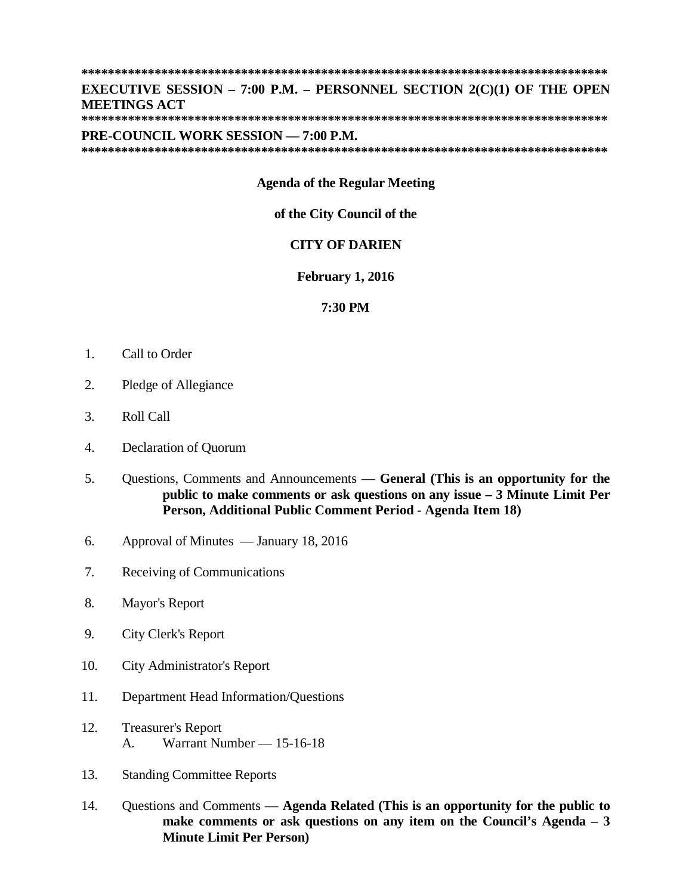# **EXECUTIVE SESSION – 7:00 P.M. – PERSONNEL SECTION 2(C)(1) OF THE OPEN MEETINGS ACT**

#### PRE-COUNCIL WORK SESSION - 7:00 P.M.

## **Agenda of the Regular Meeting**

#### of the City Council of the

# **CITY OF DARIEN**

### **February 1, 2016**

#### 7:30 PM

- $1.$ Call to Order
- $\overline{2}$ . Pledge of Allegiance
- $3.$ **Roll Call**
- $\overline{4}$ . **Declaration of Quorum**
- 5. Questions, Comments and Announcements — General (This is an opportunity for the public to make comments or ask questions on any issue  $-3$  Minute Limit Per Person, Additional Public Comment Period - Agenda Item 18)
- Approval of Minutes January 18, 2016 6.
- $7.$ Receiving of Communications
- 8. Mayor's Report
- 9. **City Clerk's Report**
- $10.$ **City Administrator's Report**
- $11.$ Department Head Information/Ouestions
- $12.$ **Treasurer's Report** Warrant Number — 15-16-18  $\mathbf{A}$
- 13. **Standing Committee Reports**
- 14. Questions and Comments — Agenda Related (This is an opportunity for the public to make comments or ask questions on any item on the Council's Agenda  $-3$ **Minute Limit Per Person)**